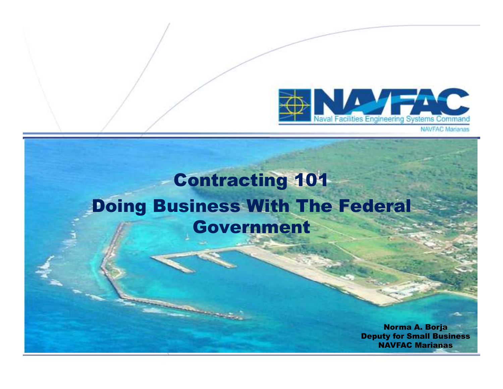

#### Contracting 101 Doing Business With The Federal Government

Norma A. Borja Deputy for Small BusinessNAVFAC Marianas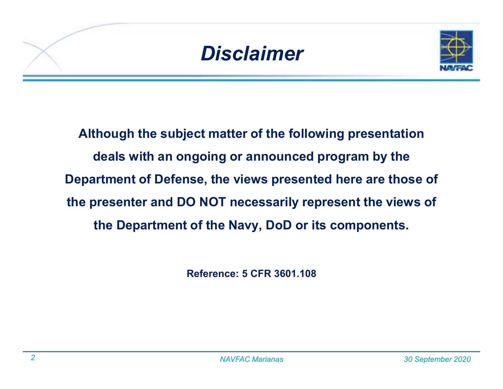



**Although the subject matter of the following presentation deals with an ongoing or announced program by the Department of Defense, the views presented here are those of the presenter and DO NOT necessarily represent the views of the Department of the Navy, DoD or its components.** 

**Reference: 5 CFR 3601.108**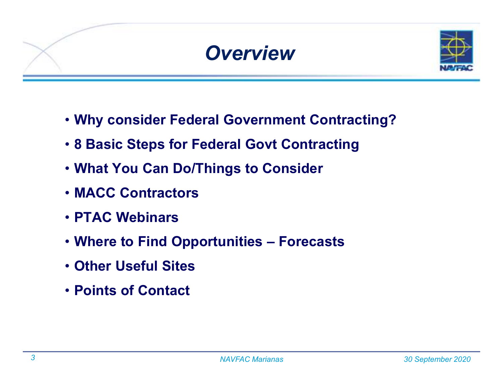

- **Why consider Federal Government Contracting?**
- **8 Basic Steps for Federal Govt Contracting**
- **What You Can Do/Things to Consider**
- **MACC Contractors**
- **PTAC Webinars**
- **Where to Find Opportunities – Forecasts**
- **Other Useful Sites**
- **Points of Contact**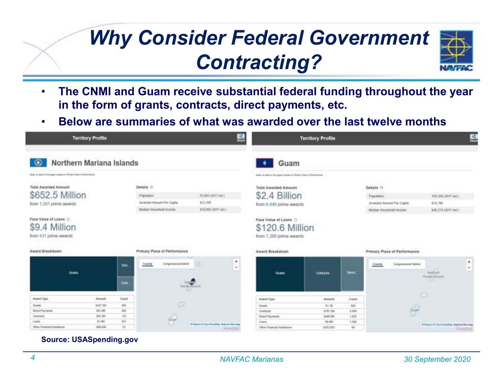## *Why Consider Federal Government Contracting?*



- • **The CNMI and Guam receive substantial federal funding throughout the year in the form of grants, contracts, direct payments, etc.**
- •**Below are summaries of what was awarded over the last twelve months**

| ᅽ<br><b>Territory Profile</b>                                                                                                         |               |                      |                                                                                     | <b>Territory Profile</b>                                            |                                                                                                                                               |            |              | 루                                                                                          |                      |                                                        |                |
|---------------------------------------------------------------------------------------------------------------------------------------|---------------|----------------------|-------------------------------------------------------------------------------------|---------------------------------------------------------------------|-----------------------------------------------------------------------------------------------------------------------------------------------|------------|--------------|--------------------------------------------------------------------------------------------|----------------------|--------------------------------------------------------|----------------|
| Northern Mariana Islands<br>$\circ$                                                                                                   |               |                      |                                                                                     |                                                                     | Guam                                                                                                                                          |            |              |                                                                                            |                      |                                                        |                |
| Asial - All like or the year is because of disease of the memorial                                                                    |               |                      |                                                                                     |                                                                     | does at less of the paper person (filtres) that at the britannia                                                                              |            |              |                                                                                            |                      |                                                        |                |
| Total Awarded Amount<br>\$652.5 Million<br>from 1,581 prime awards.<br>Face Value of Loans<br>\$9.4 Million<br>from 431 prime awards. |               |                      | Details (?)<br>Possibility<br>Awarded Amount Par Capital<br>Median Househeld tocome | 53,883,(2017 est)<br>\$12,105<br>E19,988 (2017 ALL)                 | <b>Total Awarded Amount</b><br>\$2.4 Billion<br>from 6,446 prime awards.<br>Face Value of Loans<br>\$120.6 Million<br>from 1,388 prime awards |            |              | Details ill<br><b>Fiscadation</b><br>Avanded Amount Per Capital<br>Median Hautsmald income |                      | 109,358 (2017 ket )<br>\$14.786<br>\$46,274 (2017 est) |                |
| Award Rreakdown                                                                                                                       |               |                      | Primary Place of Performance                                                        |                                                                     | Award Breakdown                                                                                                                               |            |              | Primary Place of Performance                                                               |                      |                                                        |                |
| <b>Graves</b>                                                                                                                         |               | Dec.<br><b>Cost.</b> | Congressional Debist<br>Darily                                                      | ٠<br>o<br>$\sim$<br><b>Auditor</b>                                  | <b>THINK</b>                                                                                                                                  | Contracts. | <b>Death</b> | <b>Costs</b>                                                                               | Congressional DIANII | Morvery<br><b>Manager Mounds</b>                       | ۰<br>$\bullet$ |
| Ament Type                                                                                                                            | Announce      | Count                |                                                                                     |                                                                     | Asset Type                                                                                                                                    | Areount:   | <b>Case</b>  |                                                                                            | o                    |                                                        |                |
| <b>ISunts</b>                                                                                                                         | 3147,38       | $-401$               | o                                                                                   |                                                                     | Gearts                                                                                                                                        | 31.10      | 664          |                                                                                            |                      |                                                        |                |
| Died Farmelli                                                                                                                         | <b>BIFLIM</b> | 325                  |                                                                                     |                                                                     | Contacts                                                                                                                                      | 8197.266   | 8,809        |                                                                                            | ÷                    |                                                        |                |
| Contracto                                                                                                                             | 942.5M        | 133                  | in)                                                                                 |                                                                     | <b>Direct Payments</b>                                                                                                                        | 3480,000   | 1.825        |                                                                                            |                      |                                                        |                |
| Lowes                                                                                                                                 | 22.4M         | юt                   | IJ                                                                                  |                                                                     | Lions                                                                                                                                         | 93.0M      | 1,366        |                                                                                            |                      |                                                        |                |
| <b>Elfner Filipininal Assistance</b>                                                                                                  | 325.641       | 25                   |                                                                                     | & Warriors & Close This editing Statistics \$14 miles<br><b>KIT</b> | Other Financial Assistance                                                                                                                    | RSR3 RST   | is           |                                                                                            |                      | 4 Hyder 4 Continuating States for man                  |                |

**Source: USASpending.gov**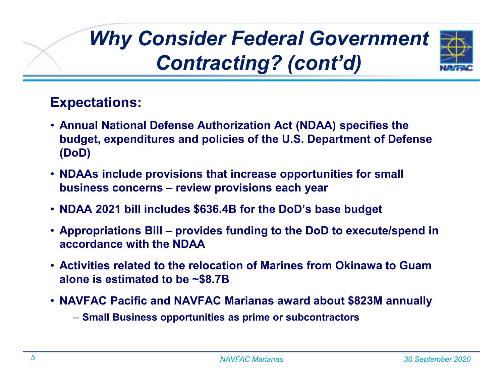# *Why Consider Federal Government Contracting? (cont'd)*



#### **Expectations:**

- **Annual National Defense Authorization Act (NDAA) specifies the budget, expenditures and policies of the U.S. Department of Defense (DoD)**
- **NDAAs include provisions that increase opportunities for small business concerns – review provisions each year**
- **NDAA 2021 bill includes \$636.4B for the DoD's base budget**
- **Appropriations Bill – provides funding to the DoD to execute/spend in accordance with the NDAA**
- **Activities related to the relocation of Marines from Okinawa to Guam alone is estimated to be ~\$8.7B**
- **NAVFAC Pacific and NAVFAC Marianas award about \$823M annually** 
	- **Small Business opportunities as prime or subcontractors**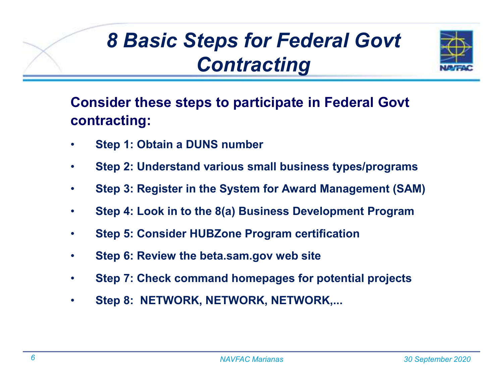## *8 Basic Steps for Federal Govt Contracting*



**Consider these steps to participate in Federal Govtcontracting:**

- •**Step 1: Obtain a DUNS number**
- •**Step 2: Understand various small business types/programs**
- $\bullet$ **Step 3: Register in the System for Award Management (SAM)**
- $\bullet$ **Step 4: Look in to the 8(a) Business Development Program**
- $\bullet$ **Step 5: Consider HUBZone Program certification**
- •**Step 6: Review the beta.sam.gov web site**
- •**Step 7: Check command homepages for potential projects**
- •**Step 8: NETWORK, NETWORK, NETWORK,...**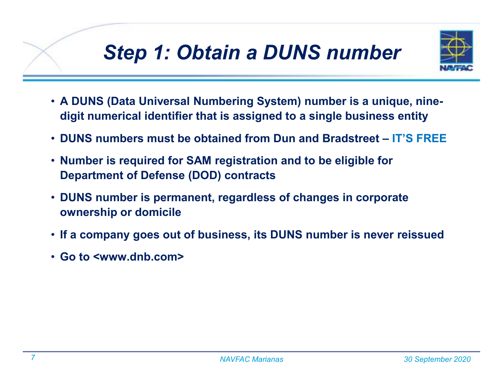### *Step 1: Obtain a DUNS number*



- **A DUNS (Data Universal Numbering System) number is a unique, ninedigit numerical identifier that is assigned to a single business entity**
- **DUNS numbers must be obtained from Dun and Bradstreet – IT'S FREE**
- **Number is required for SAM registration and to be eligible for Department of Defense (DOD) contracts**
- **DUNS number is permanent, regardless of changes in corporate ownership or domicile**
- **If a company goes out of business, its DUNS number is never reissued**
- **Go to <www.dnb.com>**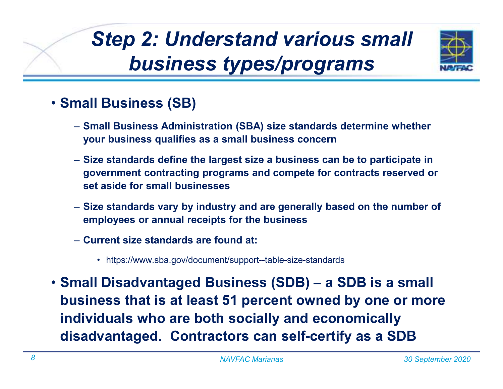# *Step 2: Understand various small business types/programs*



#### • **Small Business (SB)**

- **Small Business Administration (SBA) size standards determine whether your business qualifies as a small business concern**
- **Size standards define the largest size a business can be to participate in government contracting programs and compete for contracts reserved or set aside for small businesses**
- **Size standards vary by industry and are generally based on the number of employees or annual receipts for the business**
- **Current size standards are found at:**
	- https://www.sba.gov/document/support--table-size-standards
- **Small Disadvantaged Business (SDB) – a SDB is a small business that is at least 51 percent owned by one or more individuals who are both socially and economically disadvantaged. Contractors can self-certify as a SDB**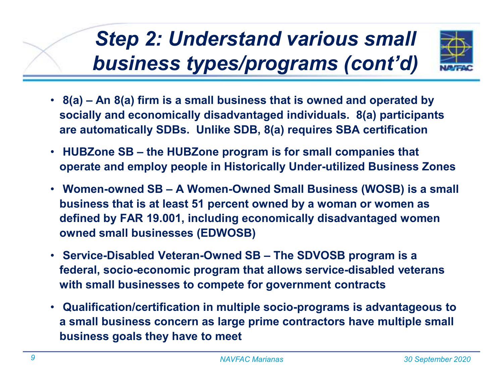# *Step 2: Understand various small business types/programs (cont'd)*



- **8(a) – An 8(a) firm is a small business that is owned and operated by socially and economically disadvantaged individuals. 8(a) participants are automatically SDBs. Unlike SDB, 8(a) requires SBA certification**
- $\bullet$  **HUBZone SB – the HUBZone program is for small companies that operate and employ people in Historically Under-utilized Business Zones**
- **Women-owned SB – A Women-Owned Small Business (WOSB) is a small business that is at least 51 percent owned by a woman or women as defined by FAR 19.001, including economically disadvantaged women owned small businesses (EDWOSB)**
- **Service-Disabled Veteran-Owned SB – The SDVOSB program is a federal, socio-economic program that allows service-disabled veterans with small businesses to compete for government contracts**
- **Qualification/certification in multiple socio-programs is advantageous to a small business concern as large prime contractors have multiple small business goals they have to meet**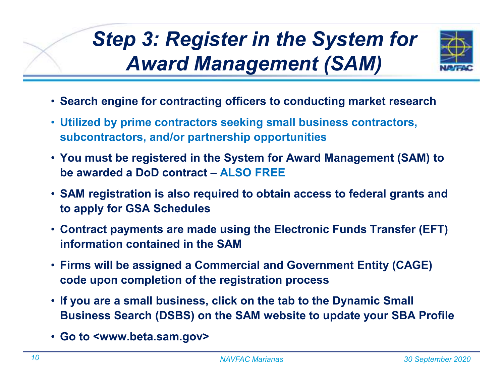# *Step 3: Register in the System for Award Management (SAM)*



- **Search engine for contracting officers to conducting market research**
- **Utilized by prime contractors seeking small business contractors, subcontractors, and/or partnership opportunities**
- **You must be registered in the System for Award Management (SAM) to be awarded a DoD contract – ALSO FREE**
- **SAM registration is also required to obtain access to federal grants and to apply for GSA Schedules**
- **Contract payments are made using the Electronic Funds Transfer (EFT) information contained in the SAM**
- **Firms will be assigned a Commercial and Government Entity (CAGE) code upon completion of the registration process**
- **If you are a small business, click on the tab to the Dynamic Small Business Search (DSBS) on the SAM website to update your SBA Profile**
- **Go to <www.beta.sam.gov>**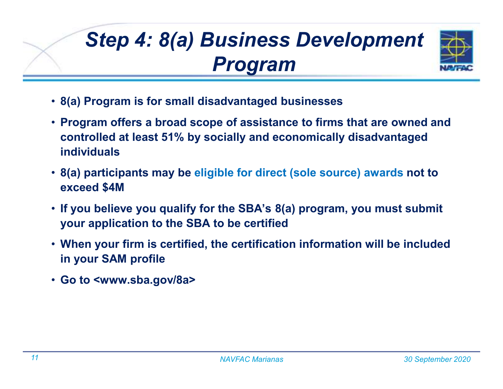# *Step 4: 8(a) Business Development Program*



- **8(a) Program is for small disadvantaged businesses**
- **Program offers a broad scope of assistance to firms that are owned and controlled at least 51% by socially and economically disadvantaged individuals**
- **8(a) participants may be eligible for direct (sole source) awards not to exceed \$4M**
- **If you believe you qualify for the SBA's 8(a) program, you must submit your application to the SBA to be certified**
- **When your firm is certified, the certification information will be included in your SAM profile**
- **Go to <www.sba.gov/8a>**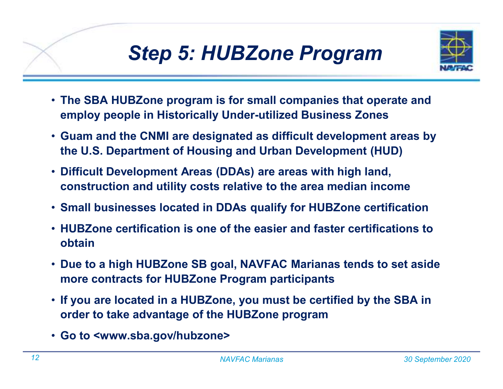## *Step 5: HUBZone Program*



- **The SBA HUBZone program is for small companies that operate and employ people in Historically Under-utilized Business Zones**
- **Guam and the CNMI are designated as difficult development areas by the U.S. Department of Housing and Urban Development (HUD)**
- **Difficult Development Areas (DDAs) are areas with high land, construction and utility costs relative to the area median income**
- **Small businesses located in DDAs qualify for HUBZone certification**
- **HUBZone certification is one of the easier and faster certifications to obtain**
- **Due to a high HUBZone SB goal, NAVFAC Marianas tends to set aside more contracts for HUBZone Program participants**
- **If you are located in a HUBZone, you must be certified by the SBA in order to take advantage of the HUBZone program**
- **Go to <www.sba.gov/hubzone>**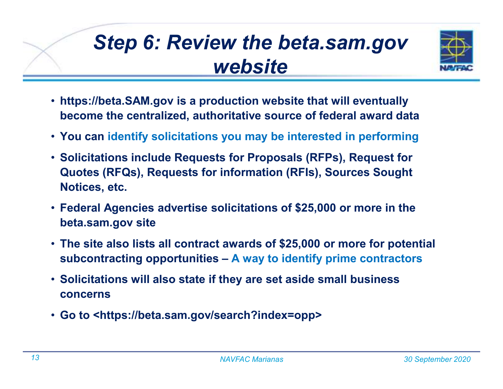## *Step 6: Review the beta.sam.gov website*



- **https://beta.SAM.gov is a production website that will eventually become the centralized, authoritative source of federal award data**
- **You can identify solicitations you may be interested in performing**
- **Solicitations include Requests for Proposals (RFPs), Request for Quotes (RFQs), Requests for information (RFIs), Sources Sought Notices, etc.**
- **Federal Agencies advertise solicitations of \$25,000 or more in the beta.sam.gov site**
- **The site also lists all contract awards of \$25,000 or more for potential subcontracting opportunities – A way to identify prime contractors**
- **Solicitations will also state if they are set aside small business concerns**
- **Go to <https://beta.sam.gov/search?index=opp>**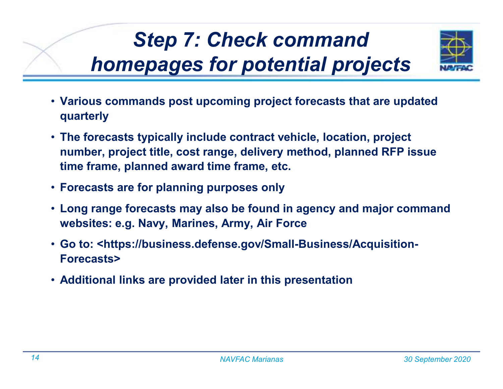# *Step 7: Check command homepages for potential projects*



- **Various commands post upcoming project forecasts that are updated quarterly**
- **The forecasts typically include contract vehicle, location, project number, project title, cost range, delivery method, planned RFP issue time frame, planned award time frame, etc.**
- **Forecasts are for planning purposes only**
- **Long range forecasts may also be found in agency and major command websites: e.g. Navy, Marines, Army, Air Force**
- **Go to: <https://business.defense.gov/Small-Business/Acquisition-Forecasts>**
- **Additional links are provided later in this presentation**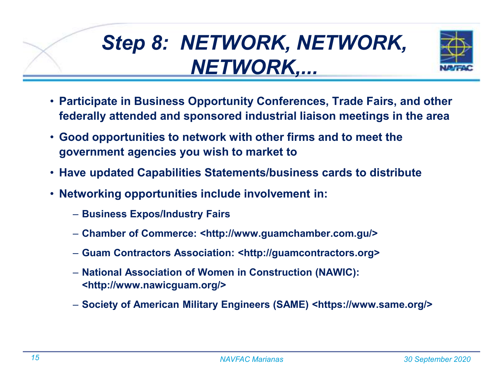# *Step 8: NETWORK, NETWORK, NETWORK,...*



- **Participate in Business Opportunity Conferences, Trade Fairs, and other federally attended and sponsored industrial liaison meetings in the area**
- **Good opportunities to network with other firms and to meet the government agencies you wish to market to**
- **Have updated Capabilities Statements/business cards to distribute**
- **Networking opportunities include involvement in:**
	- **Business Expos/Industry Fairs**
	- **Chamber of Commerce: <http://www.guamchamber.com.gu/>**
	- **Guam Contractors Association: <http://guamcontractors.org>**
	- **National Association of Women in Construction (NAWIC): <http://www.nawicguam.org/>**
	- **Society of American Military Engineers (SAME) <https://www.same.org/>**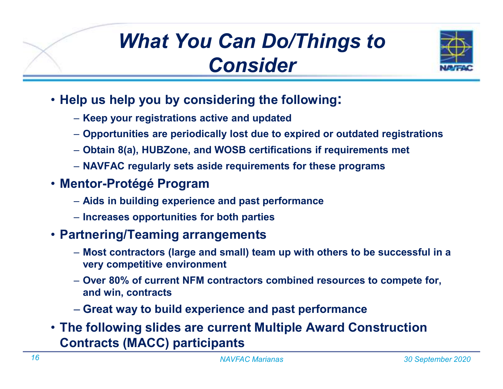## *What You Can Do/Things to Consider*



- **Help us help you by considering the following:**
	- **Keep your registrations active and updated**
	- **Opportunities are periodically lost due to expired or outdated registrations**
	- **Obtain 8(a), HUBZone, and WOSB certifications if requirements met**
	- **NAVFAC regularly sets aside requirements for these programs**
- **Mentor-Protégé Program**
	- **Aids in building experience and past performance**
	- **Increases opportunities for both parties**

#### • **Partnering/Teaming arrangements**

- **Most contractors (large and small) team up with others to be successful in a very competitive environment**
- **Over 80% of current NFM contractors combined resources to compete for, and win, contracts**
- **Great way to build experience and past performance**
- **The following slides are current Multiple Award Construction Contracts (MACC) participants**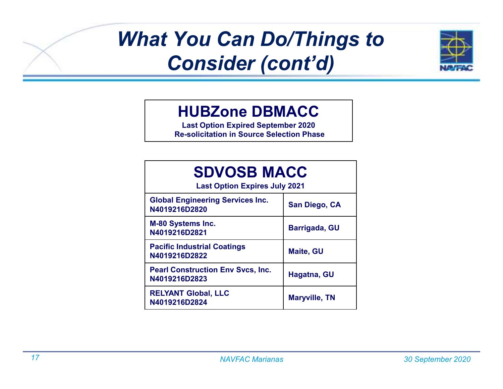

#### **HUBZone DBMACC**

 **Last Option Expired September 2020Re-solicitation in Source Selection Phase**

| <b>SDVOSB MACC</b><br><b>Last Option Expires July 2021</b> |                      |  |  |  |
|------------------------------------------------------------|----------------------|--|--|--|
| <b>Global Engineering Services Inc.</b><br>N4019216D2820   | San Diego, CA        |  |  |  |
| <b>M-80 Systems Inc.</b><br>N4019216D2821                  | Barrigada, GU        |  |  |  |
| <b>Pacific Industrial Coatings</b><br>N4019216D2822        | <b>Maite, GU</b>     |  |  |  |
| <b>Pearl Construction Env Svcs, Inc.</b><br>N4019216D2823  | Hagatna, GU          |  |  |  |
| <b>RELYANT Global, LLC</b><br>N4019216D2824                | <b>Maryville, TN</b> |  |  |  |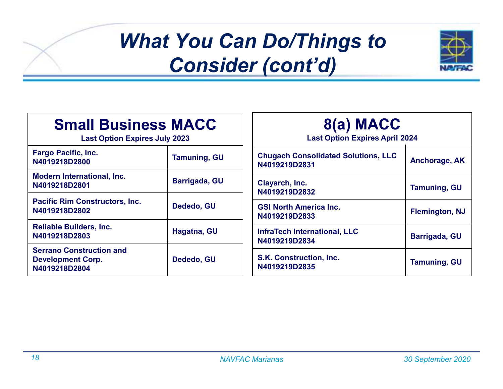

| <b>Small Business MACC</b><br><b>Last Option Expires July 2023</b>           |                     | 8(a) MACC<br><b>Last Option Expires April 2024</b>          |                       |  |
|------------------------------------------------------------------------------|---------------------|-------------------------------------------------------------|-----------------------|--|
| <b>Fargo Pacific, Inc.</b><br>N4019218D2800                                  | <b>Tamuning, GU</b> | <b>Chugach Consolidated Solutions, LLC</b><br>N4019219D2831 | Anchorage, AK         |  |
| <b>Modern International, Inc.</b><br>N4019218D2801                           | Barrigada, GU       | Clayarch, Inc.<br>N4019219D2832                             | <b>Tamuning, GU</b>   |  |
| <b>Pacific Rim Constructors, Inc.</b><br>N4019218D2802                       | Dededo, GU          | <b>GSI North America Inc.</b><br>N4019219D2833              | <b>Flemington, NJ</b> |  |
| <b>Reliable Builders, Inc.</b><br>N4019218D2803                              | Hagatna, GU         | <b>InfraTech International, LLC</b><br>N4019219D2834        | Barrigada, GU         |  |
| <b>Serrano Construction and</b><br><b>Development Corp.</b><br>N4019218D2804 | Dededo, GU          | S.K. Construction, Inc.<br>N4019219D2835                    | <b>Tamuning, GU</b>   |  |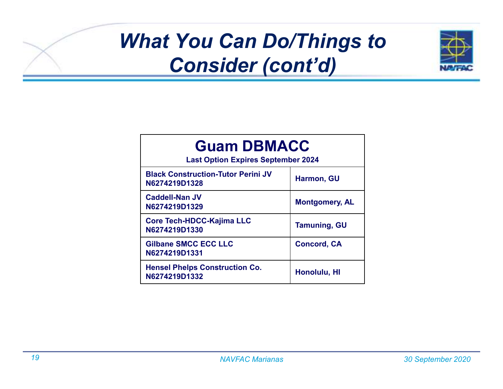

| <b>Guam DBMACC</b><br><b>Last Option Expires September 2024</b> |                       |  |  |  |
|-----------------------------------------------------------------|-----------------------|--|--|--|
| <b>Black Construction-Tutor Perini JV</b><br>N6274219D1328      | <b>Harmon, GU</b>     |  |  |  |
| Caddell-Nan JV<br>N6274219D1329                                 | <b>Montgomery, AL</b> |  |  |  |
| Core Tech-HDCC-Kajima LLC<br>N6274219D1330                      | <b>Tamuning, GU</b>   |  |  |  |
| <b>Gilbane SMCC ECC LLC</b><br>N6274219D1331                    | <b>Concord, CA</b>    |  |  |  |
| <b>Hensel Phelps Construction Co.</b><br>N6274219D1332          | Honolulu, HI          |  |  |  |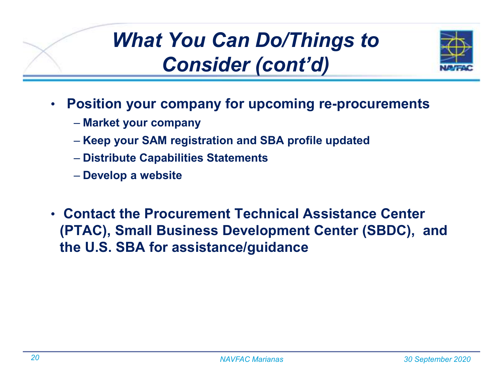

- • **Position your company for upcoming re-procurements**
	- **Market your company**
	- **Keep your SAM registration and SBA profile updated**
	- **Distribute Capabilities Statements**
	- **Develop a website**
- **Contact the Procurement Technical Assistance Center (PTAC), Small Business Development Center (SBDC), and the U.S. SBA for assistance/guidance**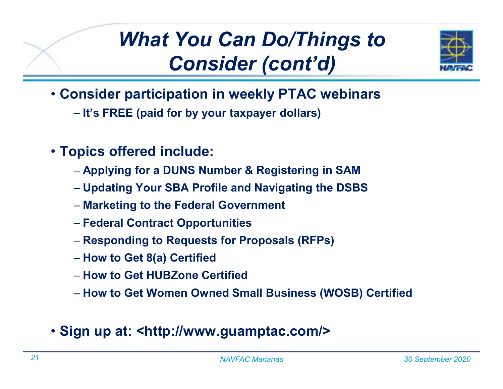

- **Consider participation in weekly PTAC webinars**
	- **It's FREE (paid for by your taxpayer dollars)**
- **Topics offered include:**
	- **Applying for a DUNS Number & Registering in SAM**
	- **Updating Your SBA Profile and Navigating the DSBS**
	- **Marketing to the Federal Government**
	- **Federal Contract Opportunities**
	- **Responding to Requests for Proposals (RFPs)**
	- **How to Get 8(a) Certified**
	- **How to Get HUBZone Certified**
	- **How to Get Women Owned Small Business (WOSB) Certified**
- **Sign up at: <http://www.guamptac.com/>**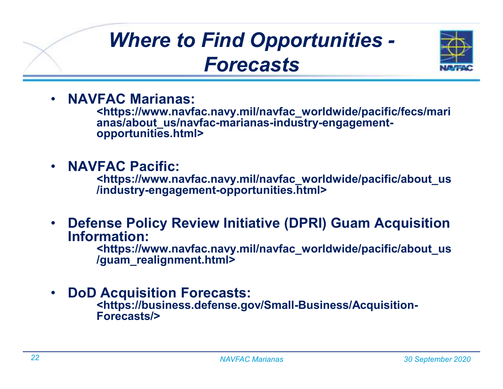### *Where to Find Opportunities -Forecasts*



•**NAVFAC Marianas:**

**<https://www.navfac.navy.mil/navfac\_worldwide/pacific/fecs/marianas/about\_us/navfac-marianas-industry-engagementopportunities.html>**

•**NAVFAC Pacific:**

**<https://www.navfac.navy.mil/navfac\_worldwide/pacific/about\_us/industry-engagement-opportunities.html>**

 $\bullet$  **Defense Policy Review Initiative (DPRI) Guam Acquisition Information:**

 **<https://www.navfac.navy.mil/navfac\_worldwide/pacific/about\_us/guam\_realignment.html>**

•**DoD Acquisition Forecasts:**

**<https://business.defense.gov/Small-Business/Acquisition-Forecasts/>**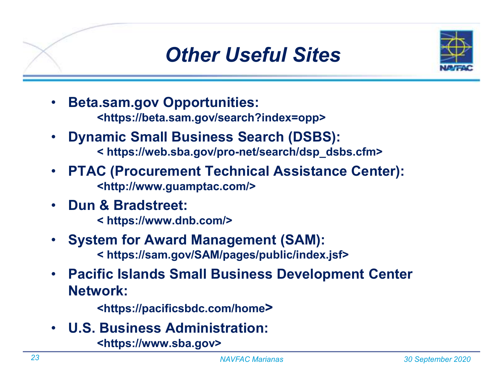#### *Other Useful Sites*



- • **Beta.sam.gov Opportunities: <https://beta.sam.gov/search?index=opp>**
- • **Dynamic Small Business Search (DSBS): < https://web.sba.gov/pro-net/search/dsp\_dsbs.cfm>**
- • **PTAC (Procurement Technical Assistance Center): <http://www.guamptac.com/>**
- • **Dun & Bradstreet:**
	- **< https://www.dnb.com/>**
- • **System for Award Management (SAM): < https://sam.gov/SAM/pages/public/index.jsf>**
- $\bullet$  **Pacific Islands Small Business Development Center Network:**

**<https://pacificsbdc.com/home>**

• **U.S. Business Administration:**

**<https://www.sba.gov>**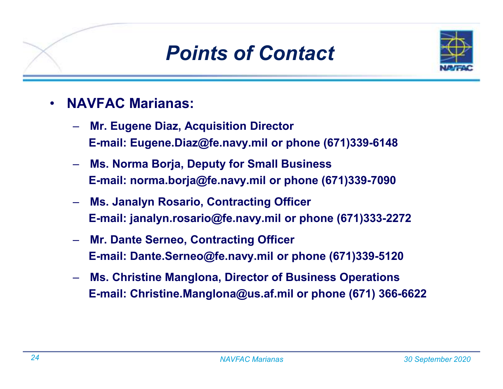#### *Points of Contact*



- • **NAVFAC Marianas:**
	- **Mr. Eugene Diaz, Acquisition Director E-mail: Eugene.Diaz@fe.navy.mil or phone (671)339-6148**
	- **Ms. Norma Borja, Deputy for Small Business E-mail: norma.borja@fe.navy.mil or phone (671)339-7090**
	- **Ms. Janalyn Rosario, Contracting Officer E-mail: janalyn.rosario@fe.navy.mil or phone (671)333-2272**
	- **Mr. Dante Serneo, Contracting Officer E-mail: Dante.Serneo@fe.navy.mil or phone (671)339-5120**
	- **Ms. Christine Manglona, Director of Business Operations E-mail: Christine.Manglona@us.af.mil or phone (671) 366-6622**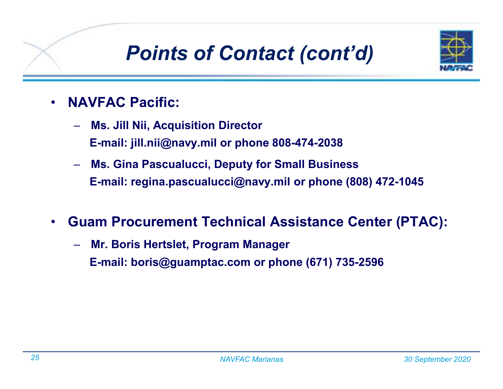## *Points of Contact (cont'd)*



- • **NAVFAC Pacific:**
	- **Ms. Jill Nii, Acquisition Director E-mail: jill.nii@navy.mil or phone 808-474-2038**
	- **Ms. Gina Pascualucci, Deputy for Small Business E-mail: regina.pascualucci@navy.mil or phone (808) 472-1045**
- • **Guam Procurement Technical Assistance Center (PTAC):**
	- **Mr. Boris Hertslet, Program Manager E-mail: boris@guamptac.com or phone (671) 735-2596**